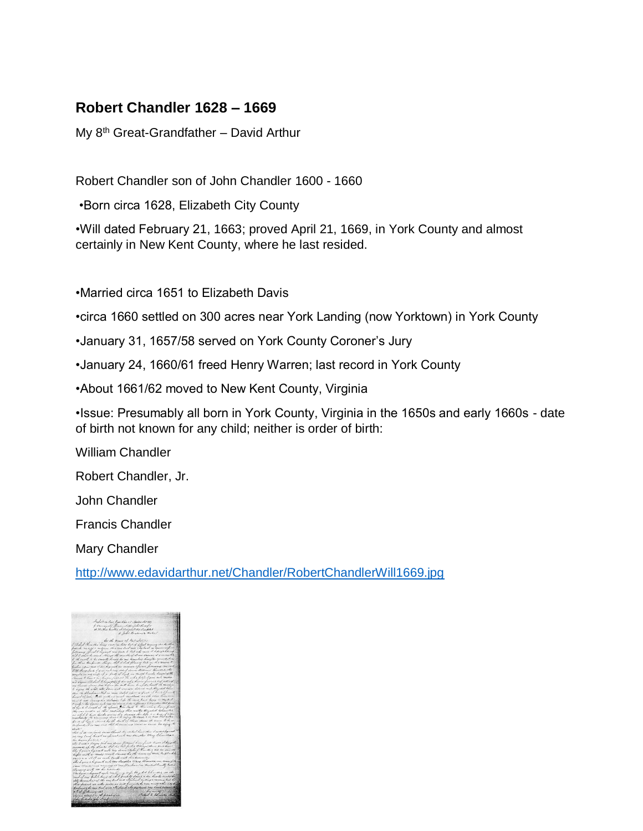## **Robert Chandler 1628 – 1669**

My 8<sup>th</sup> Great-Grandfather – David Arthur

Robert Chandler son of John Chandler 1600 - 1660

•Born circa 1628, Elizabeth City County

•Will dated February 21, 1663; proved April 21, 1669, in York County and almost certainly in New Kent County, where he last resided.

•Married circa 1651 to Elizabeth Davis

•circa 1660 settled on 300 acres near York Landing (now Yorktown) in York County

- •January 31, 1657/58 served on York County Coroner's Jury
- •January 24, 1660/61 freed Henry Warren; last record in York County
- •About 1661/62 moved to New Kent County, Virginia

•Issue: Presumably all born in York County, Virginia in the 1650s and early 1660s - date of birth not known for any child; neither is order of birth:

William Chandler

Robert Chandler, Jr.

John Chandler

Francis Chandler

Mary Chandler

<http://www.edavidarthur.net/Chandler/RobertChandlerWill1669.jpg>

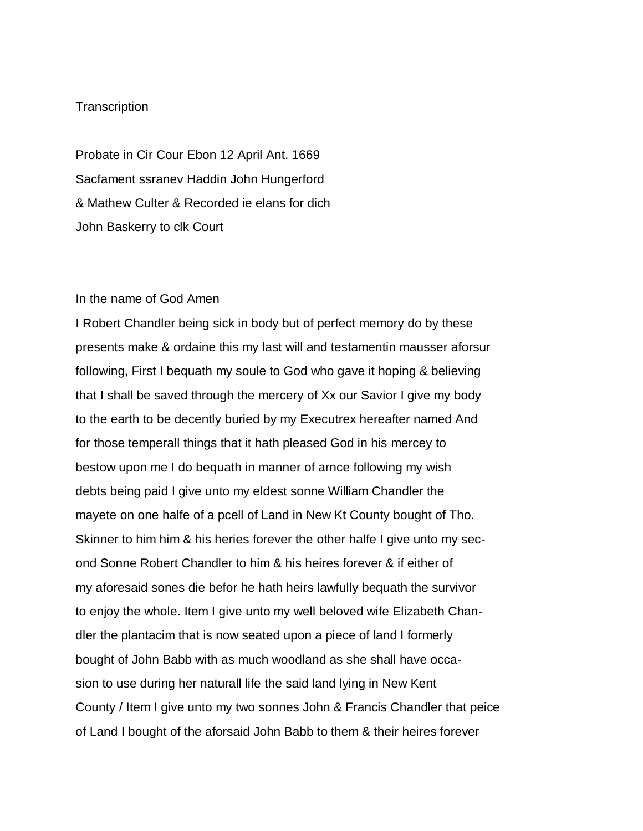## Transcription

Probate in Cir Cour Ebon 12 April Ant. 1669 Sacfament ssranev Haddin John Hungerford & Mathew Culter & Recorded ie elans for dich John Baskerry to clk Court

## In the name of God Amen

I Robert Chandler being sick in body but of perfect memory do by these presents make & ordaine this my last will and testamentin mausser aforsur following, First I bequath my soule to God who gave it hoping & believing that I shall be saved through the mercery of Xx our Savior I give my body to the earth to be decently buried by my Executrex hereafter named And for those temperall things that it hath pleased God in his mercey to bestow upon me I do bequath in manner of arnce following my wish debts being paid I give unto my eldest sonne William Chandler the mayete on one halfe of a pcell of Land in New Kt County bought of Tho. Skinner to him him & his heries forever the other halfe I give unto my second Sonne Robert Chandler to him & his heires forever & if either of my aforesaid sones die befor he hath heirs lawfully bequath the survivor to enjoy the whole. Item I give unto my well beloved wife Elizabeth Chandler the plantacim that is now seated upon a piece of land I formerly bought of John Babb with as much woodland as she shall have occasion to use during her naturall life the said land lying in New Kent County / Item I give unto my two sonnes John & Francis Chandler that peice of Land I bought of the aforsaid John Babb to them & their heires forever